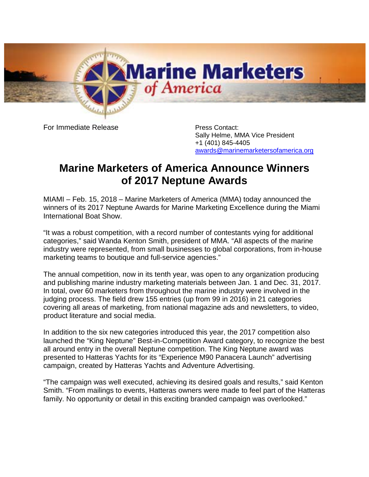

For Immediate Release **Press Contact:** 

Sally Helme, MMA Vice President +1 (401) 845-4405 [awards@marinemarketersofamerica.org](mailto:awards@marinemarketersofamerica.org)

## **Marine Marketers of America Announce Winners of 2017 Neptune Awards**

MIAMI – Feb. 15, 2018 – Marine Marketers of America (MMA) today announced the winners of its 2017 Neptune Awards for Marine Marketing Excellence during the Miami International Boat Show.

"It was a robust competition, with a record number of contestants vying for additional categories," said Wanda Kenton Smith, president of MMA. "All aspects of the marine industry were represented, from small businesses to global corporations, from in-house marketing teams to boutique and full-service agencies."

The annual competition, now in its tenth year, was open to any organization producing and publishing marine industry marketing materials between Jan. 1 and Dec. 31, 2017. In total, over 60 marketers from throughout the marine industry were involved in the judging process. The field drew 155 entries (up from 99 in 2016) in 21 categories covering all areas of marketing, from national magazine ads and newsletters, to video, product literature and social media.

In addition to the six new categories introduced this year, the 2017 competition also launched the "King Neptune" Best-in-Competition Award category, to recognize the best all around entry in the overall Neptune competition. The King Neptune award was presented to Hatteras Yachts for its "Experience M90 Panacera Launch" advertising campaign, created by Hatteras Yachts and Adventure Advertising.

"The campaign was well executed, achieving its desired goals and results," said Kenton Smith. "From mailings to events, Hatteras owners were made to feel part of the Hatteras family. No opportunity or detail in this exciting branded campaign was overlooked."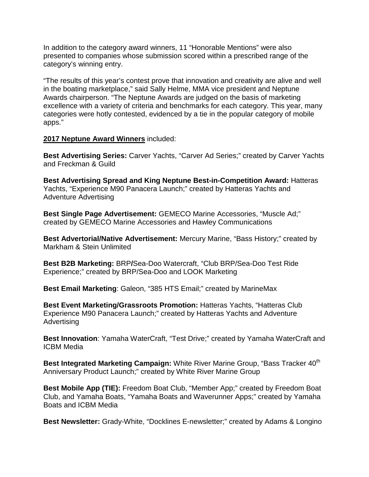In addition to the category award winners, 11 "Honorable Mentions" were also presented to companies whose submission scored within a prescribed range of the category's winning entry.

"The results of this year's contest prove that innovation and creativity are alive and well in the boating marketplace," said Sally Helme, MMA vice president and Neptune Awards chairperson. "The Neptune Awards are judged on the basis of marketing excellence with a variety of criteria and benchmarks for each category. This year, many categories were hotly contested, evidenced by a tie in the popular category of mobile apps."

## **2017 Neptune Award Winners** included:

**Best Advertising Series:** Carver Yachts, "Carver Ad Series;" created by Carver Yachts and Freckman & Guild

**Best Advertising Spread and King Neptune Best-in-Competition Award:** Hatteras Yachts, "Experience M90 Panacera Launch;" created by Hatteras Yachts and Adventure Advertising

**Best Single Page Advertisement:** GEMECO Marine Accessories, "Muscle Ad;" created by GEMECO Marine Accessories and Hawley Communications

**Best Advertorial/Native Advertisement:** Mercury Marine, "Bass History;" created by Markham & Stein Unlimited

**Best B2B Marketing:** BRP**/**Sea-Doo Watercraft, "Club BRP/Sea-Doo Test Ride Experience;" created by BRP/Sea-Doo and LOOK Marketing

**Best Email Marketing**: Galeon, "385 HTS Email;" created by MarineMax

**Best Event Marketing/Grassroots Promotion:** Hatteras Yachts, "Hatteras Club Experience M90 Panacera Launch;" created by Hatteras Yachts and Adventure **Advertising** 

**Best Innovation**: Yamaha WaterCraft, "Test Drive;" created by Yamaha WaterCraft and ICBM Media

**Best Integrated Marketing Campaign:** White River Marine Group, "Bass Tracker 40<sup>th</sup> Anniversary Product Launch;" created by White River Marine Group

**Best Mobile App (TIE):** Freedom Boat Club, "Member App;" created by Freedom Boat Club, and Yamaha Boats, "Yamaha Boats and Waverunner Apps;" created by Yamaha Boats and ICBM Media

**Best Newsletter:** Grady-White, "Docklines E-newsletter;" created by Adams & Longino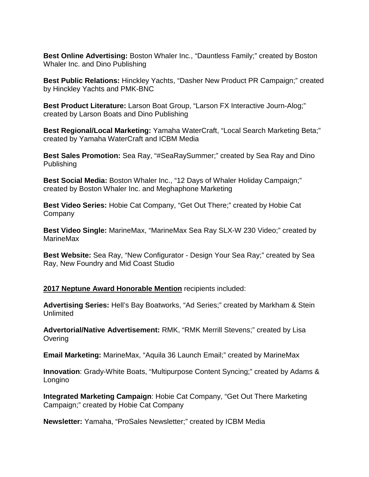**Best Online Advertising:** Boston Whaler Inc., "Dauntless Family;" created by Boston Whaler Inc. and Dino Publishing

**Best Public Relations:** Hinckley Yachts, "Dasher New Product PR Campaign;" created by Hinckley Yachts and PMK-BNC

**Best Product Literature:** Larson Boat Group, "Larson FX Interactive Journ-Alog;" created by Larson Boats and Dino Publishing

**Best Regional/Local Marketing:** Yamaha WaterCraft, "Local Search Marketing Beta;" created by Yamaha WaterCraft and ICBM Media

**Best Sales Promotion:** Sea Ray, "#SeaRaySummer;" created by Sea Ray and Dino Publishing

**Best Social Media:** Boston Whaler Inc., "12 Days of Whaler Holiday Campaign;" created by Boston Whaler Inc. and Meghaphone Marketing

**Best Video Series:** Hobie Cat Company, "Get Out There;" created by Hobie Cat **Company** 

**Best Video Single:** MarineMax, "MarineMax Sea Ray SLX-W 230 Video;" created by MarineMax

**Best Website:** Sea Ray, "New Configurator - Design Your Sea Ray;" created by Sea Ray, New Foundry and Mid Coast Studio

**2017 Neptune Award Honorable Mention** recipients included:

**Advertising Series:** Hell's Bay Boatworks, "Ad Series;" created by Markham & Stein Unlimited

**Advertorial/Native Advertisement:** RMK, "RMK Merrill Stevens;" created by Lisa **Overing** 

**Email Marketing:** MarineMax, "Aquila 36 Launch Email;" created by MarineMax

**Innovation**: Grady-White Boats, "Multipurpose Content Syncing;" created by Adams & Longino

**Integrated Marketing Campaign**: Hobie Cat Company, "Get Out There Marketing Campaign;" created by Hobie Cat Company

**Newsletter:** Yamaha, "ProSales Newsletter;" created by ICBM Media